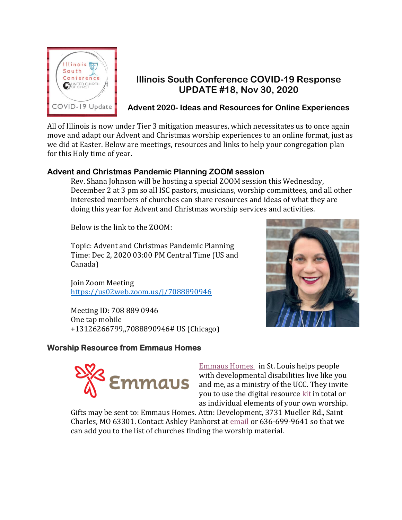

## **Illinois South Conference COVID-19 Response UPDATE #18, Nov 30, 2020**

**Advent 2020- Ideas and Resources for Online Experiences**

All of Illinois is now under Tier 3 mitigation measures, which necessitates us to once again move and adapt our Advent and Christmas worship experiences to an online format, just as we did at Easter. Below are meetings, resources and links to help your congregation plan for this Holy time of year.

### **Advent and Christmas Pandemic Planning ZOOM session**

Rev. Shana Johnson will be hosting a special ZOOM session this Wednesday, December 2 at 3 pm so all ISC pastors, musicians, worship committees, and all other interested members of churches can share resources and ideas of what they are doing this year for Advent and Christmas worship services and activities.

Below is the link to the ZOOM:

Topic: Advent and Christmas Pandemic Planning Time: Dec 2, 2020 03:00 PM Central Time (US and Canada)

Join Zoom Meeting <https://us02web.zoom.us/j/7088890946>

Meeting ID: 708 889 0946 One tap mobile +13126266799,,7088890946# US (Chicago)

### **Worship Resource from Emmaus Homes**



[Emmaus Homes](https://emmaushomes.org/) in St. Louis helps people with developmental disabilities live like you and me, as a ministry of the UCC. They invite you to use the digital resource [kit](https://www.dropbox.com/sh/s30nqhbma3a204c/AAAwDikLvUACfHtTx7zEKlsFa?dl=0) in total or as individual elements of your own worship.

Gifts may be sent to: Emmaus Homes. Attn: Development, 3731 Mueller Rd., Saint Charles, MO 63301. Contact Ashley Panhorst at [email](mailto:PanhorstAshley@emmaushomes.org%20%3cPanhorstAshley@emmaushomes.org%3e;) or 636-699-9641 so that we can add you to the list of churches finding the worship material.

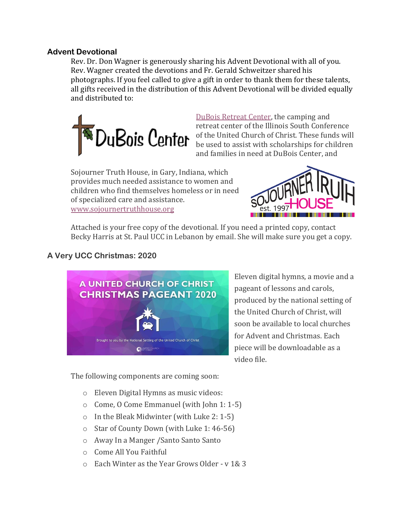#### **Advent Devotional**

Rev. Dr. Don Wagner is generously sharing his Advent Devotional with all of you. Rev. Wagner created the devotions and Fr. Gerald Schweitzer shared his photographs. If you feel called to give a gift in order to thank them for these talents, all gifts received in the distribution of this Advent Devotional will be divided equally and distributed to:



[DuBois Retreat Center,](https://duboiscenter.org/) the camping and retreat center of the Illinois South Conference of the United Church of Christ. These funds will be used to assist with scholarships for children and families in need at DuBois Center, and

Sojourner Truth House, in Gary, Indiana, which provides much needed assistance to women and children who find themselves homeless or in need of specialized care and assistance. [www.sojournertruthhouse.org](http://www.sojournertruthhouse.org/)



Attached is your free copy of the devotional. If you need a printed copy, contact Becky Harris at St. Paul UCC in Lebanon by email. She will make sure you get a copy.

## **A Very UCC Christmas: 2020**



Eleven digital hymns, a movie and a pageant of lessons and carols, produced by the national setting of the United Church of Christ, will soon be available to local churches for Advent and Christmas. Each piece will be downloadable as a video file.

The following components are coming soon:

- o Eleven Digital Hymns as music videos:
- o Come, O Come Emmanuel (with John 1: 1-5)
- o In the Bleak Midwinter (with Luke 2: 1-5)
- o Star of County Down (with Luke 1: 46-56)
- o Away In a Manger /Santo Santo Santo
- o Come All You Faithful
- o Each Winter as the Year Grows Older v 1& 3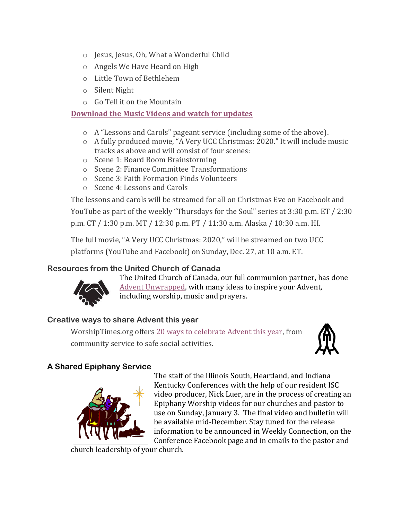- o Jesus, Jesus, Oh, What a Wonderful Child
- o Angels We Have Heard on High
- o Little Town of Bethlehem
- o Silent Night
- o Go Tell it on the Mountain

## **[Download the Music Videos](https://www.uccresources.com/products/a-very-ucc-christmas?variant=33233653399615) and watch for updates**

- o A "Lessons and Carols" pageant service (including some of the above).
- o A fully produced movie, "A Very UCC Christmas: 2020." It will include music tracks as above and will consist of four scenes:
- o Scene 1: Board Room Brainstorming
- o Scene 2: Finance Committee Transformations
- o Scene 3: Faith Formation Finds Volunteers
- o Scene 4: Lessons and Carols

The lessons and carols will be streamed for all on Christmas Eve on Facebook and YouTube as part of the weekly "Thursdays for the Soul" series at 3:30 p.m. ET / 2:30 p.m. CT / 1:30 p.m. MT / 12:30 p.m. PT / 11:30 a.m. Alaska / 10:30 a.m. HI.

The full movie, "A Very UCC Christmas: 2020," will be streamed on two UCC platforms (YouTube and Facebook) on Sunday, Dec. 27, at 10 a.m. ET.

# **Resources from the United Church of Canada**



The United Church of Canada, our full communion partner, has done [Advent Unwrapped,](https://www.united-church.ca/worship-theme/advent-unwrapped) with many ideas to inspire your Advent, including worship, music and prayers.

# **Creative ways to share Advent this year**

WorshipTimes.org offers [20 ways to celebrate Advent this year,](https://worshiptimes.org/20-creative-ways-to-celebrate-advent-in-2020/) from community service to safe social activities.



## **A Shared Epiphany Service**



The staff of the Illinois South, Heartland, and Indiana Kentucky Conferences with the help of our resident ISC video producer, Nick Luer, are in the process of creating an Epiphany Worship videos for our churches and pastor to use on Sunday, January 3. The final video and bulletin will be available mid-December. Stay tuned for the release information to be announced in Weekly Connection, on the Conference Facebook page and in emails to the pastor and

church leadership of your church.